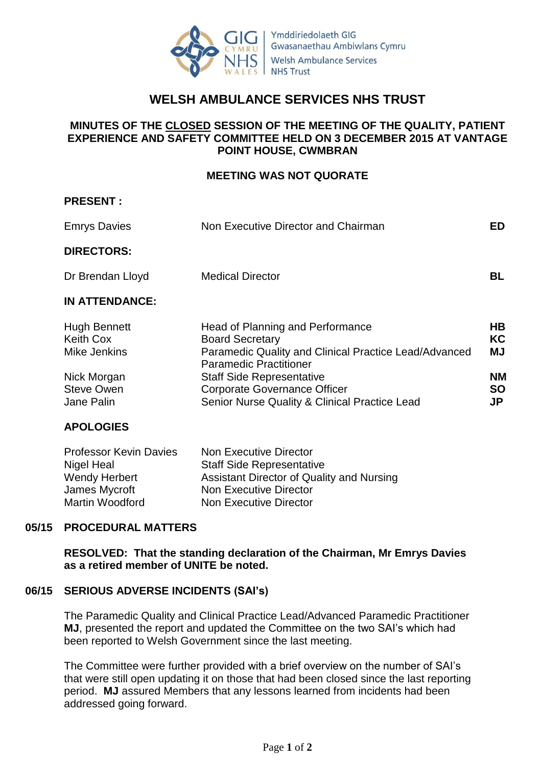

# **WELSH AMBULANCE SERVICES NHS TRUST**

# **MINUTES OF THE CLOSED SESSION OF THE MEETING OF THE QUALITY, PATIENT EXPERIENCE AND SAFETY COMMITTEE HELD ON 3 DECEMBER 2015 AT VANTAGE POINT HOUSE, CWMBRAN**

#### **MEETING WAS NOT QUORATE**

| <b>Emrys Davies</b>                                                                                       | Non Executive Director and Chairman                                                                                                                                                                                                                                              | ED.                                            |
|-----------------------------------------------------------------------------------------------------------|----------------------------------------------------------------------------------------------------------------------------------------------------------------------------------------------------------------------------------------------------------------------------------|------------------------------------------------|
| <b>DIRECTORS:</b>                                                                                         |                                                                                                                                                                                                                                                                                  |                                                |
| Dr Brendan Lloyd                                                                                          | <b>Medical Director</b>                                                                                                                                                                                                                                                          | BL.                                            |
| <b>IN ATTENDANCE:</b>                                                                                     |                                                                                                                                                                                                                                                                                  |                                                |
| <b>Hugh Bennett</b><br><b>Keith Cox</b><br>Mike Jenkins<br>Nick Morgan<br><b>Steve Owen</b><br>Jane Palin | Head of Planning and Performance<br><b>Board Secretary</b><br>Paramedic Quality and Clinical Practice Lead/Advanced<br><b>Paramedic Practitioner</b><br><b>Staff Side Representative</b><br><b>Corporate Governance Officer</b><br>Senior Nurse Quality & Clinical Practice Lead | HB<br>KC<br><b>MJ</b><br>NΜ<br><b>SO</b><br>JP |
| <b>APOLOGIES</b>                                                                                          |                                                                                                                                                                                                                                                                                  |                                                |

| <b>Professor Kevin Davies</b> | Non Executive Director                    |
|-------------------------------|-------------------------------------------|
| Nigel Heal                    | <b>Staff Side Representative</b>          |
| Wendy Herbert                 | Assistant Director of Quality and Nursing |
| James Mycroft                 | Non Executive Director                    |
| Martin Woodford               | Non Executive Director                    |

### **05/15 PROCEDURAL MATTERS**

**PRESENT :**

**RESOLVED: That the standing declaration of the Chairman, Mr Emrys Davies as a retired member of UNITE be noted.**

#### **06/15 SERIOUS ADVERSE INCIDENTS (SAI's)**

The Paramedic Quality and Clinical Practice Lead/Advanced Paramedic Practitioner **MJ**, presented the report and updated the Committee on the two SAI's which had been reported to Welsh Government since the last meeting.

The Committee were further provided with a brief overview on the number of SAI's that were still open updating it on those that had been closed since the last reporting period. **MJ** assured Members that any lessons learned from incidents had been addressed going forward.